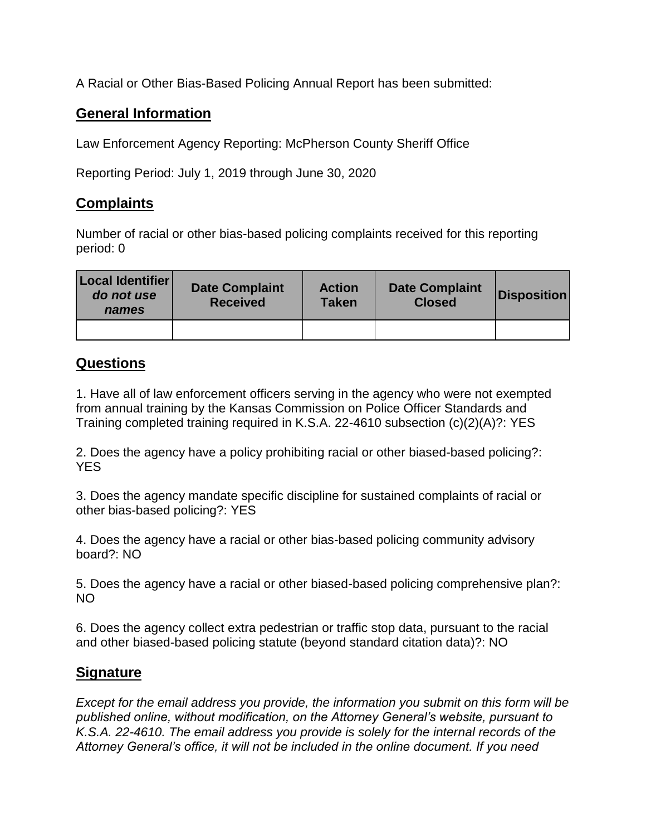A Racial or Other Bias-Based Policing Annual Report has been submitted:

## **General Information**

Law Enforcement Agency Reporting: McPherson County Sheriff Office

Reporting Period: July 1, 2019 through June 30, 2020

## **Complaints**

Number of racial or other bias-based policing complaints received for this reporting period: 0

| Local Identifier<br>do not use<br>names | <b>Date Complaint</b><br><b>Received</b> | <b>Action</b><br><b>Taken</b> | <b>Date Complaint</b><br><b>Closed</b> | <b>Disposition</b> |
|-----------------------------------------|------------------------------------------|-------------------------------|----------------------------------------|--------------------|
|                                         |                                          |                               |                                        |                    |

## **Questions**

1. Have all of law enforcement officers serving in the agency who were not exempted from annual training by the Kansas Commission on Police Officer Standards and Training completed training required in K.S.A. 22-4610 subsection (c)(2)(A)?: YES

2. Does the agency have a policy prohibiting racial or other biased-based policing?: YES

3. Does the agency mandate specific discipline for sustained complaints of racial or other bias-based policing?: YES

4. Does the agency have a racial or other bias-based policing community advisory board?: NO

5. Does the agency have a racial or other biased-based policing comprehensive plan?: NO

6. Does the agency collect extra pedestrian or traffic stop data, pursuant to the racial and other biased-based policing statute (beyond standard citation data)?: NO

## **Signature**

*Except for the email address you provide, the information you submit on this form will be published online, without modification, on the Attorney General's website, pursuant to K.S.A. 22-4610. The email address you provide is solely for the internal records of the Attorney General's office, it will not be included in the online document. If you need*